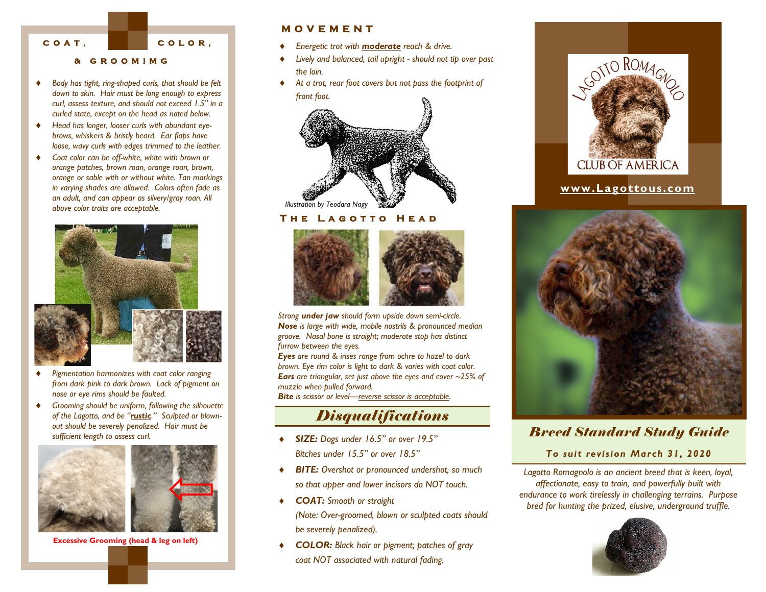**C O A T ,** 

**C O L O R ,** 

#### **& G R O O M I M G**

- *Body has tight, ring-shaped curls, that should be felt down to skin. Hair must be long enough to express curl, assess texture, and should not exceed 1.5" in a curled state, except on the head as noted below.*
- *Head has longer, looser curls with abundant eyebrows, whiskers & bristly beard. Ear flaps have loose, wavy curls with edges trimmed to the leather.*
- *Coat color can be off-white, white with brown or orange patches, brown roan, orange roan, brown, orange or sable with or without white. Tan markings in varying shades are allowed. Colors often fade as an adult, and can appear as silvery/gray roan. All above color traits are acceptable.*



- *Pigmentation harmonizes with coat color ranging from dark pink to dark brown. Lack of pigment on nose or eye rims should be faulted.*
- *Grooming should be uniform, following the silhouette of the Lagotto, and be "rustic." Sculpted or blownout should be severely penalized. Hair must be sufficient length to assess curl.*



**Excessive Grooming (head & leg on left)**

### **M O V E M E N T**

- *Energetic trot with moderate reach & drive.*
- *Lively and balanced, tail upright - should not tip over past the loin.*
- *At a trot, rear foot covers but not pass the footprint of front foot.*



#### **THE LAGOTTO HEAD**



*Strong under jaw should form upside down semi-circle. Nose is large with wide, mobile nostrils & pronounced median groove. Nasal bone is straight; moderate stop has distinct furrow between the eyes.* 

*Eyes are round & irises range from ochre to hazel to dark brown. Eye rim color is light to dark & varies with coat color. Ears are triangular, set just above the eyes and cover ~25% of muzzle when pulled forward.* 

*Bite is scissor or level—reverse scissor is acceptable.*

# *Disqualifications*

- *SIZE: Dogs under 16.5" or over 19.5" Bitches under 15.5" or over 18.5"*
- *BITE: Overshot or pronounced undershot, so much so that upper and lower incisors do NOT touch.*
- *COAT: Smooth or straight (Note: Over-groomed, blown or sculpted coats should be severely penalized).*
- *COLOR: Black hair or pigment; patches of gray coat NOT associated with natural fading.*



## **www.Lagottous.com**



## *Breed Standard Study Guide*

*To suit revision March 31, 2020*

*Lagotto Romagnolo is an ancient breed that is keen, loyal, affectionate, easy to train, and powerfully built with endurance to work tirelessly in challenging terrains. Purpose bred for hunting the prized, elusive, underground truffle.*